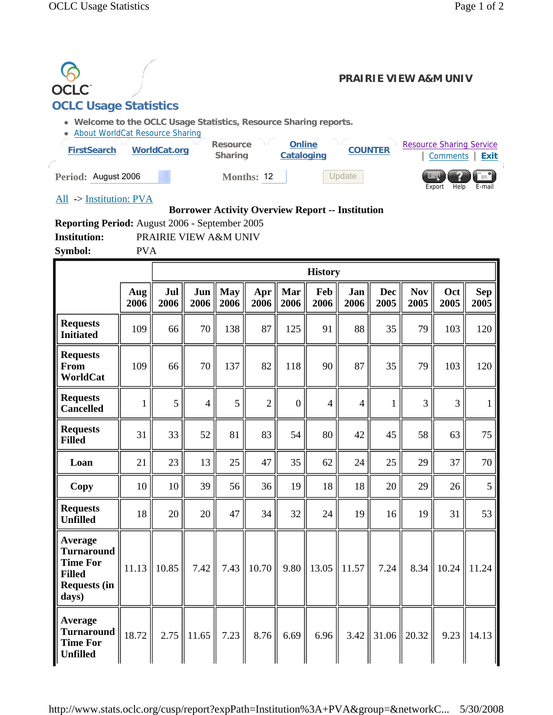

## **Borrower Activity Overview Report -- Institution**

**Reporting Period:** August 2006 - September 2005

**Institution:** PRAIRIE VIEW A&M UNIV

**Symbol:** PVA

|                                                                                                  |             |             |             |                    |                |                | <b>History</b> |             |                    |                    |                |                    |
|--------------------------------------------------------------------------------------------------|-------------|-------------|-------------|--------------------|----------------|----------------|----------------|-------------|--------------------|--------------------|----------------|--------------------|
|                                                                                                  | Aug<br>2006 | Jul<br>2006 | Jun<br>2006 | <b>May</b><br>2006 | Apr<br>2006    | Mar<br>2006    | Feb<br>2006    | Jan<br>2006 | <b>Dec</b><br>2005 | <b>Nov</b><br>2005 | Oct<br>2005    | <b>Sep</b><br>2005 |
| <b>Requests</b><br><b>Initiated</b>                                                              | 109         | 66          | 70          | 138                | 87             | 125            | 91             | 88          | 35                 | 79                 | 103            | 120                |
| <b>Requests</b><br>From<br>WorldCat                                                              | 109         | 66          | 70          | 137                | 82             | 118            | 90             | 87          | 35                 | 79                 | 103            | 120                |
| <b>Requests</b><br><b>Cancelled</b>                                                              | 1           | 5           | 4           | 5                  | $\overline{2}$ | $\overline{0}$ | $\overline{4}$ | 4           | 1                  | $\overline{3}$     | $\overline{3}$ | 1                  |
| <b>Requests</b><br><b>Filled</b>                                                                 | 31          | 33          | 52          | 81                 | 83             | 54             | 80             | 42          | 45                 | 58                 | 63             | 75                 |
| Loan                                                                                             | 21          | 23          | 13          | 25                 | 47             | 35             | 62             | 24          | 25                 | 29                 | 37             | 70                 |
| Copy                                                                                             | 10          | 10          | 39          | 56                 | 36             | 19             | 18             | 18          | 20                 | 29                 | 26             | 5                  |
| <b>Requests</b><br><b>Unfilled</b>                                                               | 18          | 20          | 20          | 47                 | 34             | 32             | 24             | 19          | 16                 | 19                 | 31             | 53                 |
| Average<br><b>Turnaround</b><br><b>Time For</b><br><b>Filled</b><br><b>Requests (in</b><br>days) | 11.13       | 10.85       | 7.42        | 7.43               | 10.70          | 9.80           | 13.05          | 11.57       | 7.24               | 8.34               | 10.24          | 11.24              |
| Average<br><b>Turnaround</b><br><b>Time For</b><br><b>Unfilled</b>                               | 18.72       | 2.75        | 11.65       | 7.23               | 8.76           | 6.69           | 6.96           | 3.42        | 31.06              | 20.32              | 9.23           | 14.13              |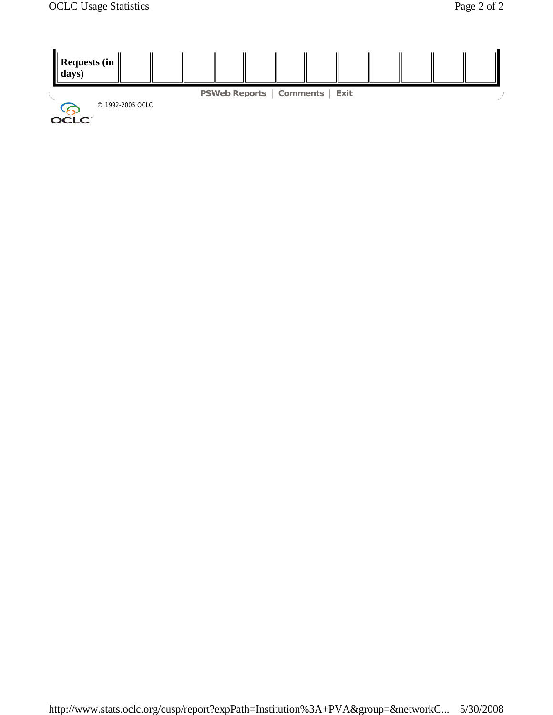

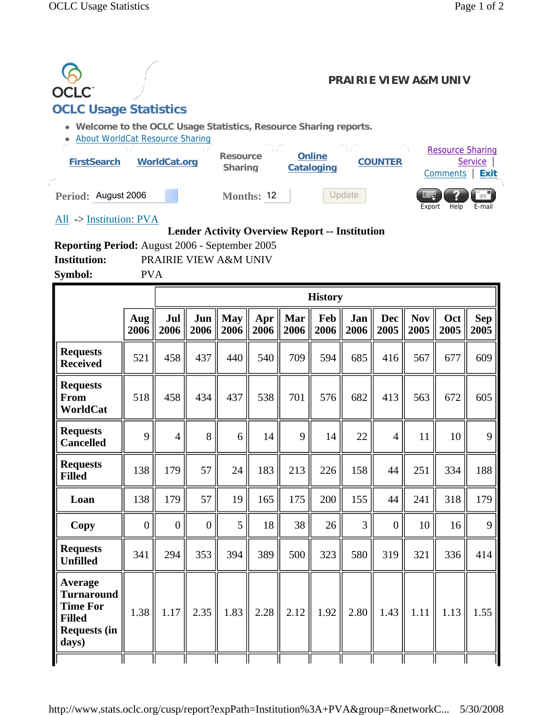

**Institution:** PRAIRIE VIEW A&M UNIV

**Symbol:** PVA

|                                                                                                         |                |                |                  |                    |             |             | <b>History</b> |                |                    |                    |             |                    |
|---------------------------------------------------------------------------------------------------------|----------------|----------------|------------------|--------------------|-------------|-------------|----------------|----------------|--------------------|--------------------|-------------|--------------------|
|                                                                                                         | Aug<br>2006    | Jul<br>2006    | Jun<br>2006      | <b>May</b><br>2006 | Apr<br>2006 | Mar<br>2006 | Feb<br>2006    | Jan<br>2006    | <b>Dec</b><br>2005 | <b>Nov</b><br>2005 | Oct<br>2005 | <b>Sep</b><br>2005 |
| <b>Requests</b><br><b>Received</b>                                                                      | 521            | 458            | 437              | 440                | 540         | 709         | 594            | 685            | 416                | 567                | 677         | 609                |
| <b>Requests</b><br><b>From</b><br>WorldCat                                                              | 518            | 458            | 434              | 437                | 538         | 701         | 576            | 682            | 413                | 563                | 672         | 605                |
| <b>Requests</b><br><b>Cancelled</b>                                                                     | 9              | $\overline{4}$ | 8                | 6                  | 14          | 9           | 14             | 22             | $\overline{4}$     | 11                 | 10          | 9                  |
| <b>Requests</b><br><b>Filled</b>                                                                        | 138            | 179            | 57               | 24                 | 183         | 213         | 226            | 158            | 44                 | 251                | 334         | 188                |
| Loan                                                                                                    | 138            | 179            | 57               | 19                 | 165         | 175         | 200            | 155            | 44                 | 241                | 318         | 179                |
| <b>Copy</b>                                                                                             | $\overline{0}$ | $\overline{0}$ | $\boldsymbol{0}$ | 5                  | 18          | 38          | 26             | $\overline{3}$ | $\overline{0}$     | 10                 | 16          | 9                  |
| <b>Requests</b><br><b>Unfilled</b>                                                                      | 341            | 294            | 353              | 394                | 389         | 500         | 323            | 580            | 319                | 321                | 336         | 414                |
| <b>Average</b><br><b>Turnaround</b><br><b>Time For</b><br><b>Filled</b><br><b>Requests (in</b><br>days) | 1.38           | 1.17           | 2.35             | 1.83               | 2.28        | 2.12        | 1.92           | 2.80           | 1.43               | 1.11               | 1.13        | 1.55               |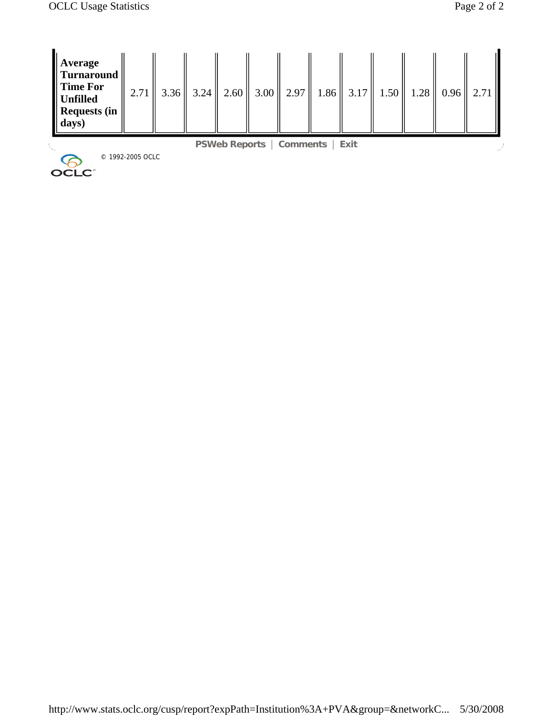| <b>Average</b><br>Turnaround<br>$\parallel$ Time For<br>Unfilled<br>Requests (in<br>days) | 2.71             | $3.36 \parallel 3.24 \parallel$ | 2.60 | $3.00 \parallel 2.97 \parallel$        |  |  | $1.86 \parallel 3.17 \parallel 1.50 \parallel 1.28 \parallel 0.96 \parallel$ | 2.71 |  |
|-------------------------------------------------------------------------------------------|------------------|---------------------------------|------|----------------------------------------|--|--|------------------------------------------------------------------------------|------|--|
|                                                                                           |                  |                                 |      | <b>PSWeb Reports   Comments   Exit</b> |  |  |                                                                              |      |  |
| OCLC <sup>-</sup>                                                                         | © 1992-2005 OCLC |                                 |      |                                        |  |  |                                                                              |      |  |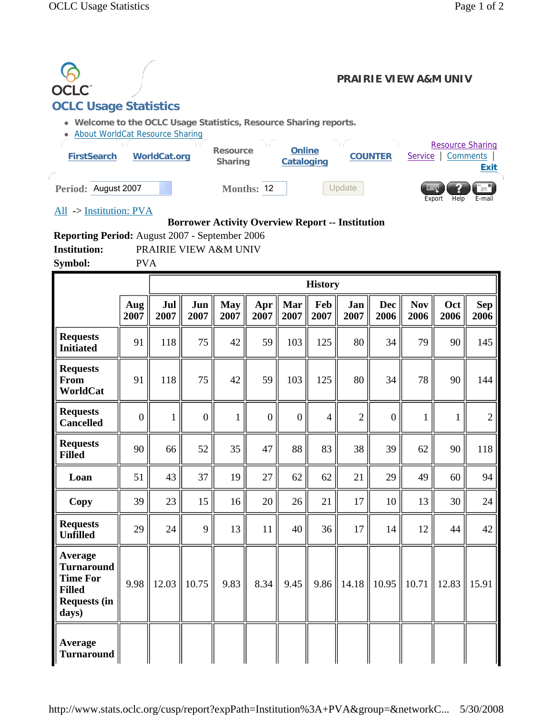

**Reporting Period:** August 2007 - September 2006 **Institution:** PRAIRIE VIEW A&M UNIV **Symbol:** PVA

**History Aug 2007 Jul 2007 Jun 2007 May 2007 Apr 2007 Mar 2007 Feb 2007 Jan 2007 Dec 2006 Nov 2006 Oct 2006 Sep 2006 Requests Initiated**  $\begin{bmatrix} 91 \end{bmatrix}$   $118$   $\begin{bmatrix} 75 \end{bmatrix}$   $42$   $\begin{bmatrix} 59 \end{bmatrix}$   $103$   $\begin{bmatrix} 125 \end{bmatrix}$   $80$   $\begin{bmatrix} 34 \end{bmatrix}$   $79$   $\begin{bmatrix} 90 \end{bmatrix}$   $145$ **Requests From WorldCat**  91 || 118 || 75 || 42 || 59 || 103 || 125 || 80 || 34 || 78 || 90 || 144 **Requests Cancelled**  $\begin{bmatrix} 0 & 1 & 0 & 1 & 0 & 1 \end{bmatrix}$   $\begin{bmatrix} 0 & 1 & 0 & 0 & 0 & 4 & 2 & 0 & 1 & 1 & 2 \end{bmatrix}$ **Requests Filled**  $\begin{bmatrix} 90 \\ 90 \end{bmatrix}$  66 52  $\begin{bmatrix} 52 \\ 35 \end{bmatrix}$  47 88 83 38 38 39 62 62 90 118 **Loan** 51 43 37 19 27 62 62 21 29 49 60 94 **Copy** 39 23 15 16 20 26 21 17 10 13 30 24 **Requests Unfilled**  $\begin{bmatrix} 29 \\ 24 \end{bmatrix}$   $\begin{bmatrix} 24 \\ 9 \end{bmatrix}$   $\begin{bmatrix} 13 \\ 11 \end{bmatrix}$   $\begin{bmatrix} 40 \\ 36 \end{bmatrix}$   $\begin{bmatrix} 36 \\ 17 \end{bmatrix}$   $\begin{bmatrix} 14 \\ 12 \end{bmatrix}$   $\begin{bmatrix} 44 \\ 42 \end{bmatrix}$   $\begin{bmatrix} 42 \\ 42 \end{bmatrix}$ **Average Turnaround Time For Filled Requests (in days)**  9.98  $\parallel$  12.03  $\parallel$  10.75  $\parallel$  9.83  $\parallel$  8.34  $\parallel$  9.45  $\parallel$  9.86  $\parallel$  14.18  $\parallel$  10.95  $\parallel$  10.71  $\parallel$  12.83  $\parallel$  15.91 **Average Turnaround**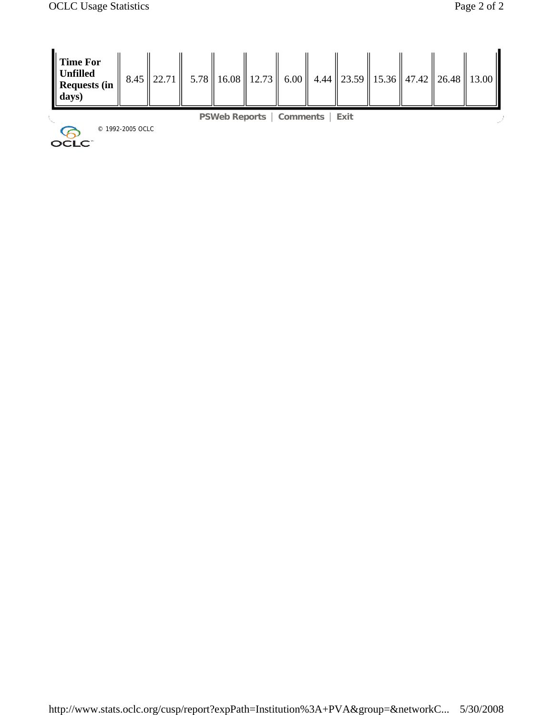| Time For<br>  Unfilled<br>Requests (in<br>$\parallel$ days) |                  | $8.45$   22.71 |                                 |  |        |  | $5.78$   16.08   12.73   6.00   4.44   23.59   15.36   47.42   26.48   13.00 |
|-------------------------------------------------------------|------------------|----------------|---------------------------------|--|--------|--|------------------------------------------------------------------------------|
|                                                             |                  |                | <b>PSWeb Reports   Comments</b> |  | ∣ Exit |  |                                                                              |
| OCLC <sup>-</sup>                                           | © 1992-2005 OCLC |                |                                 |  |        |  |                                                                              |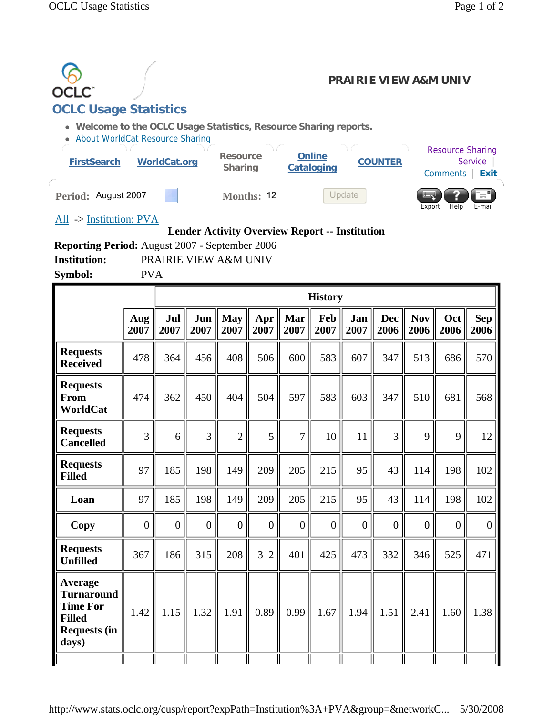

| рушрог.                                                                                          | 1 V 4          |                |                  |                    |                  |                |                |                  |                    |                    |                |                    |
|--------------------------------------------------------------------------------------------------|----------------|----------------|------------------|--------------------|------------------|----------------|----------------|------------------|--------------------|--------------------|----------------|--------------------|
|                                                                                                  |                |                |                  |                    |                  |                | <b>History</b> |                  |                    |                    |                |                    |
|                                                                                                  | Aug<br>2007    | Jul<br>2007    | Jun<br>2007      | <b>May</b><br>2007 | Apr<br>2007      | Mar<br>2007    | Feb<br>2007    | Jan<br>2007      | <b>Dec</b><br>2006 | <b>Nov</b><br>2006 | Oct<br>2006    | <b>Sep</b><br>2006 |
| <b>Requests</b><br><b>Received</b>                                                               | 478            | 364            | 456              | 408                | 506              | 600            | 583            | 607              | 347                | 513                | 686            | 570                |
| <b>Requests</b><br><b>From</b><br>WorldCat                                                       | 474            | 362            | 450              | 404                | 504              | 597            | 583            | 603              | 347                | 510                | 681            | 568                |
| <b>Requests</b><br><b>Cancelled</b>                                                              | 3              | 6              | 3                | $\overline{2}$     | 5                | $\overline{7}$ | 10             | 11               | 3                  | 9                  | 9              | 12                 |
| <b>Requests</b><br><b>Filled</b>                                                                 | 97             | 185            | 198              | 149                | 209              | 205            | 215            | 95               | 43                 | 114                | 198            | 102                |
| Loan                                                                                             | 97             | 185            | 198              | 149                | 209              | 205            | 215            | 95               | 43                 | 114                | 198            | 102                |
| Copy                                                                                             | $\overline{0}$ | $\overline{0}$ | $\boldsymbol{0}$ | $\overline{0}$     | $\boldsymbol{0}$ | $\overline{0}$ | $\overline{0}$ | $\boldsymbol{0}$ | $\overline{0}$     | $\overline{0}$     | $\overline{0}$ | $\overline{0}$     |
| <b>Requests</b><br><b>Unfilled</b>                                                               | 367            | 186            | 315              | 208                | 312              | 401            | 425            | 473              | 332                | 346                | 525            | 471                |
| Average<br><b>Turnaround</b><br><b>Time For</b><br><b>Filled</b><br><b>Requests (in</b><br>days) | 1.42           | 1.15           | 1.32             | 1.91               | 0.89             | 0.99           | 1.67           | 1.94             | 1.51               | 2.41               | 1.60           | 1.38               |
|                                                                                                  |                |                |                  |                    |                  |                |                |                  |                    |                    |                |                    |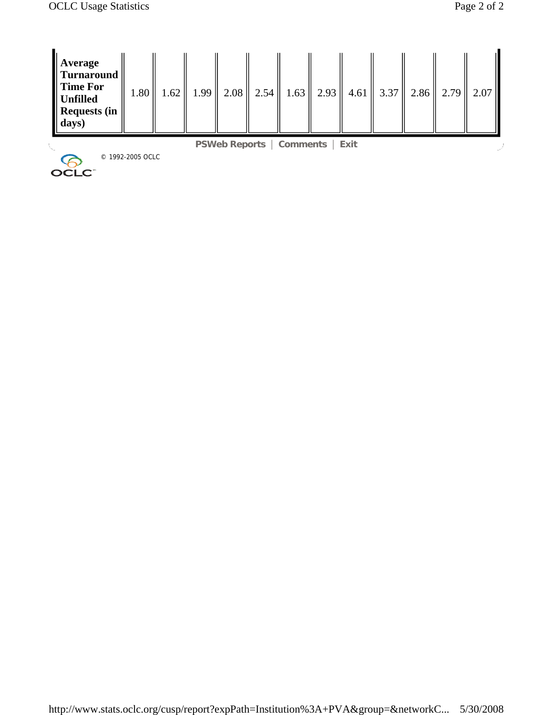| Average<br><b>Turnaround</b><br>$\parallel$ Time For<br>$\parallel$ Unfilled<br>Requests (in<br>days) | 1.80             | 1.62 | 1.99 |                                        | $2.08$   2.54   1.63   2.93 | 4.61 |  | 3.37 $\parallel$ 2.86 $\parallel$ 2.79 $\parallel$ 2.07 |
|-------------------------------------------------------------------------------------------------------|------------------|------|------|----------------------------------------|-----------------------------|------|--|---------------------------------------------------------|
|                                                                                                       |                  |      |      | <b>PSWeb Reports   Comments   Exit</b> |                             |      |  |                                                         |
| OCLC <sup>-</sup>                                                                                     | © 1992-2005 OCLC |      |      |                                        |                             |      |  |                                                         |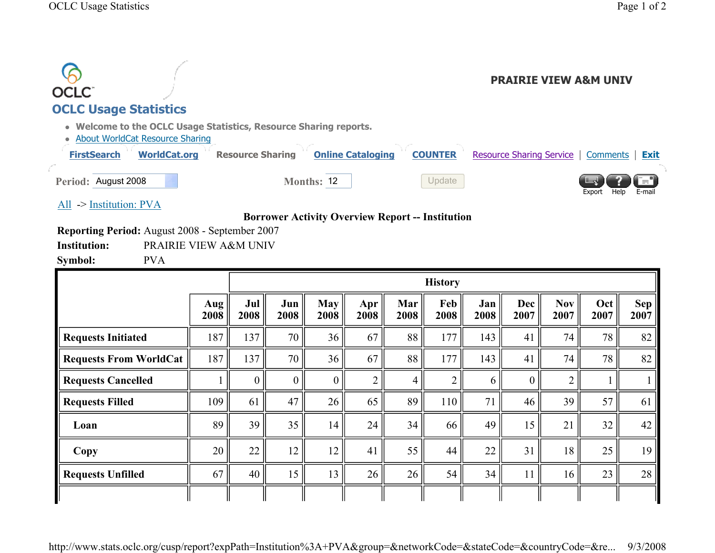| <b>OCLC</b><br><b>OCLC Usage Statistics</b> |                                                          |                                                                                              |                          |                | <b>PRAIRIE VIEW A&amp;M UNIV</b>              |
|---------------------------------------------|----------------------------------------------------------|----------------------------------------------------------------------------------------------|--------------------------|----------------|-----------------------------------------------|
| <b>FirstSearch</b>                          | • About WorldCat Resource Sharing<br><b>WorldCat.org</b> | • Welcome to the OCLC Usage Statistics, Resource Sharing reports.<br><b>Resource Sharing</b> | <b>Online Cataloging</b> | <b>COUNTER</b> | Resource Sharing Service   Comments  <br>Exit |
| Period: August 2008                         |                                                          | <b>Months: 12</b>                                                                            |                          | Update         | — 1<br>Help<br>Export<br>E-mail               |
| $\rightarrow$ Institution: PVA              |                                                          |                                                                                              |                          |                |                                               |
|                                             |                                                          | <b>Borrower Activity Overview Report -- Institution</b>                                      |                          |                |                                               |
|                                             | <b>Reporting Period:</b> August 2008 - September 2007    |                                                                                              |                          |                |                                               |
| <b>Institution:</b>                         |                                                          | PRAIRIE VIEW A&M UNIV                                                                        |                          |                |                                               |
| Symbol:                                     | <b>PVA</b>                                               |                                                                                              |                          |                |                                               |

|                               |               |                |                |                    |                |                | <b>History</b> |             |             |                    |             |                    |
|-------------------------------|---------------|----------------|----------------|--------------------|----------------|----------------|----------------|-------------|-------------|--------------------|-------------|--------------------|
|                               | Aug '<br>2008 | Jul<br>2008    | Jun<br>2008    | <b>May</b><br>2008 | Apr<br>2008    | Mar<br>2008    | Feb<br>2008    | Jan<br>2008 | Dec<br>2007 | <b>Nov</b><br>2007 | Oct<br>2007 | <b>Sep</b><br>2007 |
| <b>Requests Initiated</b>     | 187           | 137            | 70             | 36                 | 67             | 88             | 177            | 143         | 41          | 74                 | 78          | 82                 |
| <b>Requests From WorldCat</b> | 187           | 137            | 70             | 36                 | 67             | 88             | 177            | 143         | 41          | 74                 | 78          | 82                 |
| <b>Requests Cancelled</b>     |               | $\overline{0}$ | $\overline{0}$ | 0 <sup>1</sup>     | $\overline{2}$ | $\overline{4}$ | $\overline{2}$ | 6           | $\theta$    | $\overline{2}$     |             |                    |
| <b>Requests Filled</b>        | 109           | 61             | 47             | 26                 | 65             | 89             | 110            | 71          | 46          | 39                 | 57          | 61                 |
| Loan                          | 89            | 39             | 35             | 14                 | 24             | 34             | 66             | 49          | 15          | 21                 | 32          | 42                 |
| Copy                          | 20            | 22             | 12             | 12                 | 41             | 55             | 44             | 22          | 31          | 18                 | 25          | 19                 |
| <b>Requests Unfilled</b>      | 67            | 40             | 15             | 13                 | 26             | 26             | 54             | 34          | 11          | 16                 | 23          | 28                 |
|                               |               |                |                |                    |                |                |                |             |             |                    |             |                    |

http://www.stats.oclc.org/cusp/report?expPath=Institution%3A+PVA&group=&networkCode=&stateCode=&countryCode=&re... 9/3/2008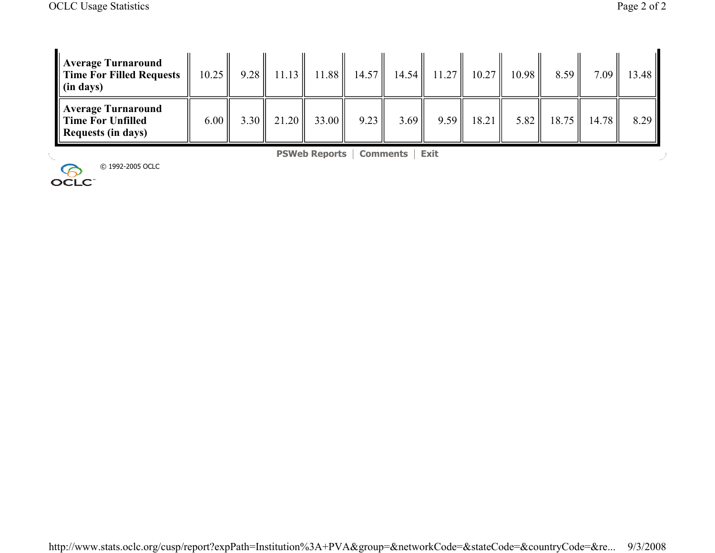| Average Turnaround<br>Time For Filled Requests<br>$\parallel$ (in days) | 10.25 |        |       | $9.28$    11.13    11.88    14.57    14.54 |      |      | $11.27$   10.27 | 10.98  | 8.59  | $7.09$ $\parallel$ | 13.48 |
|-------------------------------------------------------------------------|-------|--------|-------|--------------------------------------------|------|------|-----------------|--------|-------|--------------------|-------|
| Average Turnaround<br>Time For Unfilled<br>Requests (in days)           | 6.00  | $3.30$ | 21.20 | 33.00                                      | 9.23 | 3.69 | $9.59$   18.21  | $5.82$ | 18.75 | 14.78              | 8.29  |

**PSWeb Reports** | **Comments** | **Exit**

© 1992-2005 OCLC

J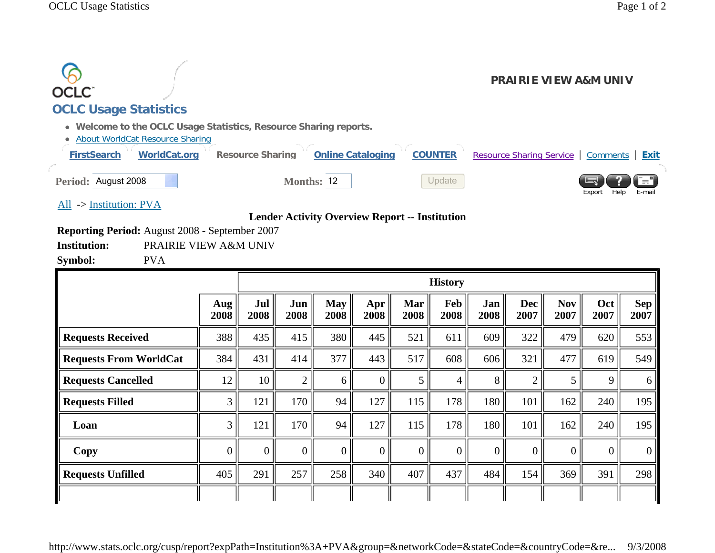|                                                                                     |                                                                                                                          |                | <b>PRAIRIE VIEW A&amp;M UNIV</b>                      |
|-------------------------------------------------------------------------------------|--------------------------------------------------------------------------------------------------------------------------|----------------|-------------------------------------------------------|
| OCLC <sup>.</sup>                                                                   |                                                                                                                          |                |                                                       |
| <b>OCLC Usage Statistics</b>                                                        |                                                                                                                          |                |                                                       |
| <b>About WorldCat Resource Sharing</b><br><b>FirstSearch</b><br><b>WorldCat.org</b> | • Welcome to the OCLC Usage Statistics, Resource Sharing reports.<br><b>Online Cataloging</b><br><b>Resource Sharing</b> | <b>COUNTER</b> | <b>Resource Sharing Service</b><br>Comments  <br>Exit |
| Period: August 2008                                                                 | <b>Months: 12</b>                                                                                                        | Update         | r="<br>Help<br>E-mail<br>Export                       |
| All $\rightarrow$ Institution: PVA                                                  |                                                                                                                          |                |                                                       |
|                                                                                     | <b>Lender Activity Overview Report -- Institution</b>                                                                    |                |                                                       |
| <b>Reporting Period:</b> August 2008 - September 2007                               |                                                                                                                          |                |                                                       |

**Institution:** PRAIRIE VIEW A&M UNIV

**Symbol:** PVA

|                               |                 |                |                |                    |                |             | <b>History</b> |                |                    |                    |                |                    |
|-------------------------------|-----------------|----------------|----------------|--------------------|----------------|-------------|----------------|----------------|--------------------|--------------------|----------------|--------------------|
|                               | Aug<br>2008     | Jul<br>2008    | Jun<br>2008    | <b>May</b><br>2008 | Apr<br>2008    | Mar<br>2008 | Feb<br>2008    | Jan<br>2008    | <b>Dec</b><br>2007 | <b>Nov</b><br>2007 | Oct<br>2007    | <b>Sep</b><br>2007 |
| <b>Requests Received</b>      | 388             | 435            | 415            | 380                | 445            | 521         | 611            | 609            | 322                | 479                | 620            | 553                |
| <b>Requests From WorldCat</b> | 384             | 431            | 414            | 377                | 443            | 517         | 608            | 606            | 321                | 477                | 619            | 549                |
| <b>Requests Cancelled</b>     | 12              | 10             | $\overline{2}$ | 6                  | $\overline{0}$ | 5           | 4              | 8              | C                  | 5                  | 9              | 6                  |
| <b>Requests Filled</b>        | 3               | 121            | 170            | 94                 | 127            | 115         | 178            | 180            | 101                | 162                | 240            | 195                |
| Loan                          | 3               | 121            | 170            | 94                 | 127            | 115         | 178            | 180            | 101                | 162                | 240            | 195                |
| Copy                          | 0 <sup>  </sup> | $\overline{0}$ | $\Omega$       | $\overline{0}$     | $\overline{0}$ | $\Omega$    | $\overline{0}$ | $\overline{0}$ | $\Omega$           | $\overline{0}$     | $\overline{0}$ | $\Omega$           |
| <b>Requests Unfilled</b>      | 405             | 291            | 257            | 258                | 340            | 407         | 437            | 484            | 154                | 369                | 391            | 298                |
|                               |                 |                |                |                    |                |             |                |                |                    |                    |                |                    |

http://www.stats.oclc.org/cusp/report?expPath=Institution%3A+PVA&group=&networkCode=&stateCode=&countryCode=&re... 9/3/2008